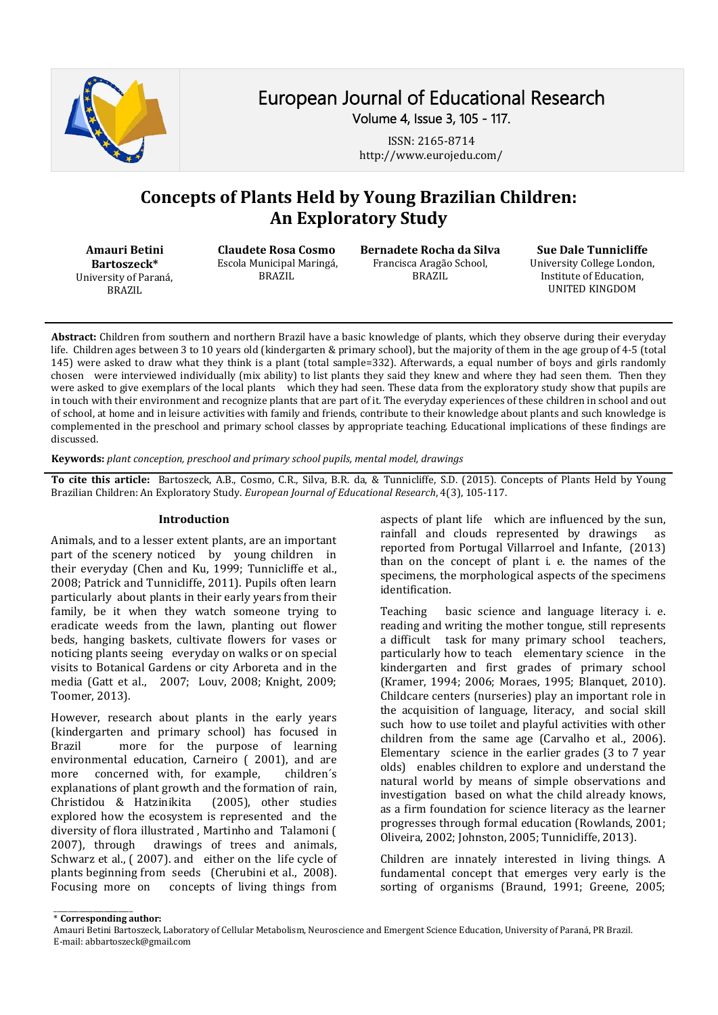

# European Journal of Educational Research Volume 4, Issue 3, 105 - 117.

ISSN: 2165-8714 http://www.eurojedu.com/

# **Concepts of Plants Held by Young Brazilian Children: An Exploratory Study**

**Amauri Betini Bartoszeck\*** University of Paraná, BRAZIL

**Claudete Rosa Cosmo**  Escola Municipal Maringá, BRAZIL

**Bernadete Rocha da Silva** Francisca Aragão School, BRAZIL

**Sue Dale Tunnicliffe**

University College London, Institute of Education, UNITED KINGDOM

**Abstract:** Children from southern and northern Brazil have a basic knowledge of plants, which they observe during their everyday life. Children ages between 3 to 10 years old (kindergarten & primary school), but the majority of them in the age group of 4-5 (total 145) were asked to draw what they think is a plant (total sample=332). Afterwards, a equal number of boys and girls randomly chosen were interviewed individually (mix ability) to list plants they said they knew and where they had seen them. Then they were asked to give exemplars of the local plants which they had seen. These data from the exploratory study show that pupils are in touch with their environment and recognize plants that are part of it. The everyday experiences of these children in school and out of school, at home and in leisure activities with family and friends, contribute to their knowledge about plants and such knowledge is complemented in the preschool and primary school classes by appropriate teaching. Educational implications of these findings are discussed.

**Keywords:** *plant conception, preschool and primary school pupils, mental model, drawings*

**To cite this article:** Bartoszeck, A.B., Cosmo, C.R., Silva, B.R. da, & Tunnicliffe, S.D. (2015). Concepts of Plants Held by Young Brazilian Children: An Exploratory Study. *European Journal of Educational Research*, 4(3), 105-117.

#### **Introduction**

Animals, and to a lesser extent plants, are an important part of the scenery noticed by young children in their everyday (Chen and Ku, 1999; Tunnicliffe et al., 2008; Patrick and Tunnicliffe, 2011). Pupils often learn particularly about plants in their early years from their family, be it when they watch someone trying to eradicate weeds from the lawn, planting out flower beds, hanging baskets, cultivate flowers for vases or noticing plants seeing everyday on walks or on special visits to Botanical Gardens or city Arboreta and in the media (Gatt et al., 2007; Louv, 2008; Knight, 2009; Toomer, 2013).

However, research about plants in the early years (kindergarten and primary school) has focused in more for the purpose of learning environmental education, Carneiro (2001), and are<br>more concerned with, for example, children's more concerned with, for example, explanations of plant growth and the formation of rain,<br>Christidou & Hatzinikita (2005), other studies Christidou & Hatzinikita explored how the ecosystem is represented and the diversity of flora illustrated, Martinho and Talamoni (2007), through drawings of trees and animals, drawings of trees and animals, Schwarz et al., ( 2007). and either on the life cycle of plants beginning from seeds (Cherubini et al., 2008).<br>Focusing more on concepts of living things from concepts of living things from

aspects of plant life which are influenced by the sun,<br>rainfall and clouds represented by drawings as rainfall and clouds represented by drawings reported from Portugal Villarroel and Infante, (2013) than on the concept of plant i. e. the names of the specimens, the morphological aspects of the specimens identification.

Teaching basic science and language literacy i. e. reading and writing the mother tongue, still represents a difficult task for many primary school teachers, particularly how to teach elementary science in the kindergarten and first grades of primary school (Kramer, 1994; 2006; Moraes, 1995; Blanquet, 2010). Childcare centers (nurseries) play an important role in the acquisition of language, literacy, and social skill such how to use toilet and playful activities with other children from the same age (Carvalho et al., 2006). Elementary science in the earlier grades (3 to 7 year olds) enables children to explore and understand the natural world by means of simple observations and investigation based on what the child already knows, as a firm foundation for science literacy as the learner progresses through formal education (Rowlands, 2001; Oliveira, 2002; Johnston, 2005; Tunnicliffe, 2013).

Children are innately interested in living things. A fundamental concept that emerges very early is the sorting of organisms (Braund, 1991; Greene, 2005;

\_\_\_\_\_\_\_\_\_\_\_\_\_\_\_\_\_\_\_\_\_\_ \* **Corresponding author:**

Amauri Betini Bartoszeck, Laboratory of Cellular Metabolism, Neuroscience and Emergent Science Education, University of Paraná, PR Brazil. E-mail: abbartoszeck@gmail.com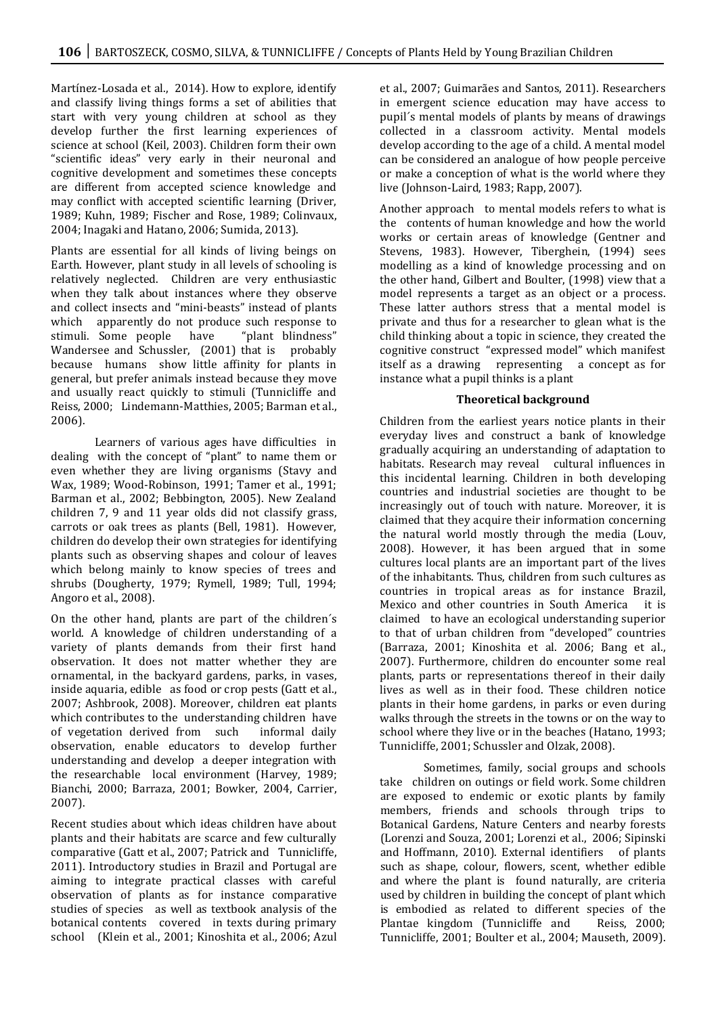Martínez-Losada et al., 2014). How to explore, identify and classify living things forms a set of abilities that start with very young children at school as they develop further the first learning experiences of science at school (Keil, 2003). Children form their own "scientific ideas" very early in their neuronal and cognitive development and sometimes these concepts are different from accepted science knowledge and may conflict with accepted scientific learning (Driver, 1989; Kuhn, 1989; Fischer and Rose, 1989; Colinvaux, 2004; Inagaki and Hatano, 2006; Sumida, 2013).

Plants are essential for all kinds of living beings on Earth. However, plant study in all levels of schooling is relatively neglected. Children are very enthusiastic when they talk about instances where they observe and collect insects and "mini-beasts" instead of plants which apparently do not produce such response to<br>stimuli. Some people have "plant blindness" stimuli. Some people have "plant blindness" Wandersee and Schussler, (2001) that is probably because humans show little affinity for plants in general, but prefer animals instead because they move and usually react quickly to stimuli (Tunnicliffe and Reiss, 2000; Lindemann-Matthies, 2005; Barman et al., 2006).

Learners of various ages have difficulties in dealing with the concept of "plant" to name them or even whether they are living organisms (Stavy and Wax, 1989; Wood-Robinson, 1991; Tamer et al., 1991; Barman et al., 2002; Bebbington, 2005). New Zealand children 7, 9 and 11 year olds did not classify grass, carrots or oak trees as plants (Bell, 1981). However, children do develop their own strategies for identifying plants such as observing shapes and colour of leaves which belong mainly to know species of trees and shrubs (Dougherty, 1979; Rymell, 1989; Tull, 1994; Angoro et al., 2008).

On the other hand, plants are part of the children´s world. A knowledge of children understanding of a variety of plants demands from their first hand observation. It does not matter whether they are ornamental, in the backyard gardens, parks, in vases, inside aquaria, edible as food or crop pests (Gatt et al., 2007; Ashbrook, 2008). Moreover, children eat plants which contributes to the understanding children have<br>of vegetation derived from such informal daily of vegetation derived from such observation, enable educators to develop further understanding and develop a deeper integration with the researchable local environment (Harvey, 1989; Bianchi, 2000; Barraza, 2001; Bowker, 2004, Carrier, 2007).

Recent studies about which ideas children have about plants and their habitats are scarce and few culturally comparative (Gatt et al., 2007; Patrick and Tunnicliffe, 2011). Introductory studies in Brazil and Portugal are aiming to integrate practical classes with careful observation of plants as for instance comparative studies of species as well as textbook analysis of the botanical contents covered in texts during primary school (Klein et al., 2001; Kinoshita et al., 2006; Azul et al., 2007; Guimarães and Santos, 2011). Researchers in emergent science education may have access to pupil´s mental models of plants by means of drawings collected in a classroom activity. Mental models develop according to the age of a child. A mental model can be considered an analogue of how people perceive or make a conception of what is the world where they live (Johnson-Laird, 1983; Rapp, 2007).

Another approach to mental models refers to what is the contents of human knowledge and how the world works or certain areas of knowledge (Gentner and Stevens, 1983). However, Tiberghein, (1994) sees modelling as a kind of knowledge processing and on the other hand, Gilbert and Boulter, (1998) view that a model represents a target as an object or a process. These latter authors stress that a mental model is private and thus for a researcher to glean what is the child thinking about a topic in science, they created the cognitive construct "expressed model" which manifest itself as a drawing representing a concept as for instance what a pupil thinks is a plant

#### **Theoretical background**

Children from the earliest years notice plants in their everyday lives and construct a bank of knowledge gradually acquiring an understanding of adaptation to habitats. Research may reveal cultural influences in this incidental learning. Children in both developing countries and industrial societies are thought to be increasingly out of touch with nature. Moreover, it is claimed that they acquire their information concerning the natural world mostly through the media (Louv, 2008). However, it has been argued that in some cultures local plants are an important part of the lives of the inhabitants. Thus, children from such cultures as countries in tropical areas as for instance Brazil, Mexico and other countries in South America claimed to have an ecological understanding superior to that of urban children from "developed" countries (Barraza, 2001; Kinoshita et al. 2006; Bang et al., 2007). Furthermore, children do encounter some real plants, parts or representations thereof in their daily lives as well as in their food. These children notice plants in their home gardens, in parks or even during walks through the streets in the towns or on the way to school where they live or in the beaches (Hatano, 1993; Tunnicliffe, 2001; Schussler and Olzak, 2008).

Sometimes, family, social groups and schools take children on outings or field work. Some children are exposed to endemic or exotic plants by family members, friends and schools through trips to Botanical Gardens, Nature Centers and nearby forests (Lorenzi and Souza, 2001; Lorenzi et al., 2006; Sipinski and Hoffmann, 2010). External identifiers such as shape, colour, flowers, scent, whether edible and where the plant is found naturally, are criteria used by children in building the concept of plant which is embodied as related to different species of the Plantae kingdom (Tunnicliffe and Reiss, 2000; Plantae kingdom (Tunnicliffe and Tunnicliffe, 2001; Boulter et al., 2004; Mauseth, 2009).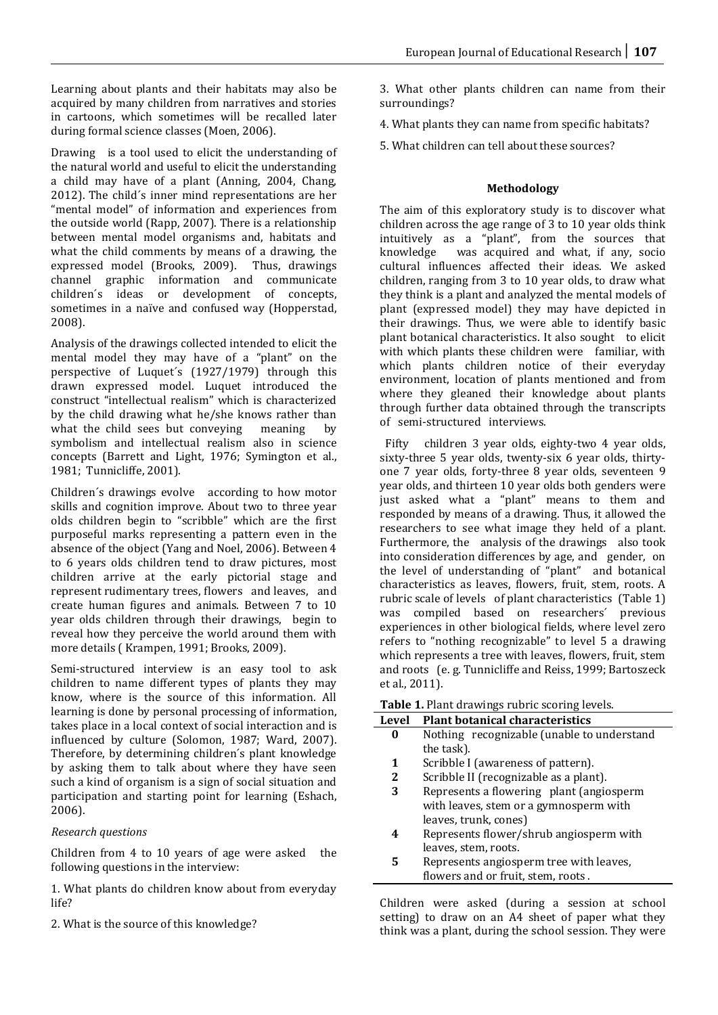Learning about plants and their habitats may also be acquired by many children from narratives and stories in cartoons, which sometimes will be recalled later during formal science classes (Moen, 2006).

Drawing is a tool used to elicit the understanding of the natural world and useful to elicit the understanding a child may have of a plant (Anning, 2004, Chang, 2012). The child´s inner mind representations are her "mental model" of information and experiences from the outside world (Rapp, 2007). There is a relationship between mental model organisms and, habitats and what the child comments by means of a drawing, the expressed model (Brooks, 2009). Thus, drawings expressed model (Brooks, 2009). channel graphic information and communicate children´s ideas or development of concepts, sometimes in a naïve and confused way (Hopperstad, 2008).

Analysis of the drawings collected intended to elicit the mental model they may have of a "plant" on the perspective of Luquet´s (1927/1979) through this drawn expressed model. Luquet introduced the construct "intellectual realism" which is characterized by the child drawing what he/she knows rather than<br>what the child sees but conveying meaning by what the child sees but conveying symbolism and intellectual realism also in science concepts (Barrett and Light, 1976; Symington et al., 1981; Tunnicliffe, 2001).

Children´s drawings evolve according to how motor skills and cognition improve. About two to three year olds children begin to "scribble" which are the first purposeful marks representing a pattern even in the absence of the object (Yang and Noel, 2006). Between 4 to 6 years olds children tend to draw pictures, most children arrive at the early pictorial stage and represent rudimentary trees, flowers and leaves, and create human figures and animals. Between 7 to 10 year olds children through their drawings, begin to reveal how they perceive the world around them with more details ( Krampen, 1991; Brooks, 2009).

Semi-structured interview is an easy tool to ask children to name different types of plants they may know, where is the source of this information. All learning is done by personal processing of information, takes place in a local context of social interaction and is influenced by culture (Solomon, 1987; Ward, 2007). Therefore, by determining children´s plant knowledge by asking them to talk about where they have seen such a kind of organism is a sign of social situation and participation and starting point for learning (Eshach, 2006).

## *Research questions*

Children from 4 to 10 years of age were asked the following questions in the interview:

1. What plants do children know about from everyday life?

2. What is the source of this knowledge?

3. What other plants children can name from their surroundings?

4. What plants they can name from specific habitats?

5. What children can tell about these sources?

# **Methodology**

The aim of this exploratory study is to discover what children across the age range of 3 to 10 year olds think intuitively as a "plant", from the sources that was acquired and what, if any, socio cultural influences affected their ideas. We asked children, ranging from 3 to 10 year olds, to draw what they think is a plant and analyzed the mental models of plant (expressed model) they may have depicted in their drawings. Thus, we were able to identify basic plant botanical characteristics. It also sought to elicit with which plants these children were familiar, with which plants children notice of their everyday environment, location of plants mentioned and from where they gleaned their knowledge about plants through further data obtained through the transcripts of semi-structured interviews.

 Fifty children 3 year olds, eighty-two 4 year olds, sixty-three 5 year olds, twenty-six 6 year olds, thirtyone 7 year olds, forty-three 8 year olds, seventeen 9 year olds, and thirteen 10 year olds both genders were just asked what a "plant" means to them and responded by means of a drawing. Thus, it allowed the researchers to see what image they held of a plant. Furthermore, the analysis of the drawings also took into consideration differences by age, and gender, on the level of understanding of "plant" and botanical characteristics as leaves, flowers, fruit, stem, roots. A rubric scale of levels of plant characteristics (Table 1) was compiled based on researchers´ previous experiences in other biological fields, where level zero refers to "nothing recognizable" to level 5 a drawing which represents a tree with leaves, flowers, fruit, stem and roots (e. g. Tunnicliffe and Reiss, 1999; Bartoszeck et al., 2011).

**Table 1.** Plant drawings rubric scoring levels.

| <b>Level</b> | <b>Plant botanical characteristics</b>     |
|--------------|--------------------------------------------|
| 0            | Nothing recognizable (unable to understand |
|              | the task).                                 |
| 1            | Scribble I (awareness of pattern).         |
| 2            | Scribble II (recognizable as a plant).     |
| 3            | Represents a flowering plant (angiosperm   |
|              | with leaves, stem or a gymnosperm with     |
|              | leaves, trunk, cones)                      |
| 4            | Represents flower/shrub angiosperm with    |
|              | leaves, stem, roots.                       |
| 5            | Represents angiosperm tree with leaves,    |
|              | flowers and or fruit, stem, roots.         |
|              |                                            |

Children were asked (during a session at school setting) to draw on an A4 sheet of paper what they think was a plant, during the school session. They were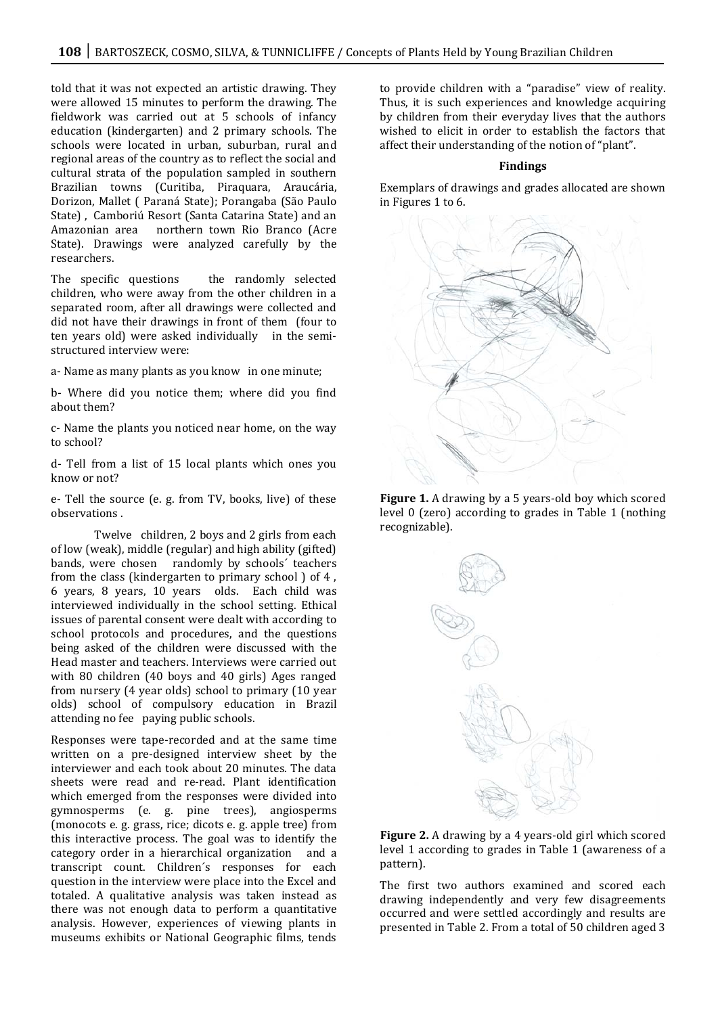told that it was not expected an artistic drawing. They were allowed 15 minutes to perform the drawing. The fieldwork was carried out at 5 schools of infancy education (kindergarten) and 2 primary schools. The schools were located in urban, suburban, rural and regional areas of the country as to reflect the social and cultural strata of the population sampled in southern Brazilian towns (Curitiba, Piraquara, Araucária, Dorizon, Mallet ( Paraná State); Porangaba (São Paulo State) , Camboriú Resort (Santa Catarina State) and an Amazonian area northern town Rio Branco (Acre State). Drawings were analyzed carefully by the researchers.

The specific questions the randomly selected children, who were away from the other children in a separated room, after all drawings were collected and did not have their drawings in front of them (four to ten years old) were asked individually in the semistructured interview were:

a- Name as many plants as you know in one minute;

b- Where did you notice them; where did you find about them?

c- Name the plants you noticed near home, on the way to school?

d- Tell from a list of 15 local plants which ones you know or not?

e- Tell the source (e. g. from TV, books, live) of these observations .

Twelve children, 2 boys and 2 girls from each of low (weak), middle (regular) and high ability (gifted) bands, were chosen randomly by schools´ teachers from the class (kindergarten to primary school ) of 4 , 6 years, 8 years, 10 years olds. Each child was interviewed individually in the school setting. Ethical issues of parental consent were dealt with according to school protocols and procedures, and the questions being asked of the children were discussed with the Head master and teachers. Interviews were carried out with 80 children (40 boys and 40 girls) Ages ranged from nursery (4 year olds) school to primary (10 year olds) school of compulsory education in Brazil attending no fee paying public schools.

Responses were tape-recorded and at the same time written on a pre-designed interview sheet by the interviewer and each took about 20 minutes. The data sheets were read and re-read. Plant identification which emerged from the responses were divided into gymnosperms (e. g. pine trees), angiosperms (monocots e. g. grass, rice; dicots e. g. apple tree) from this interactive process. The goal was to identify the category order in a hierarchical organization and a transcript count. Children´s responses for each question in the interview were place into the Excel and totaled. A qualitative analysis was taken instead as there was not enough data to perform a quantitative analysis. However, experiences of viewing plants in museums exhibits or National Geographic films, tends

to provide children with a "paradise" view of reality. Thus, it is such experiences and knowledge acquiring by children from their everyday lives that the authors wished to elicit in order to establish the factors that affect their understanding of the notion of "plant".

#### **Findings**

Exemplars of drawings and grades allocated are shown in Figures 1 to 6.



**Figure 1.** A drawing by a 5 years-old boy which scored level 0 (zero) according to grades in Table 1 (nothing recognizable).



**Figure 2.** A drawing by a 4 years-old girl which scored level 1 according to grades in Table 1 (awareness of a pattern).

The first two authors examined and scored each drawing independently and very few disagreements occurred and were settled accordingly and results are presented in Table 2. From a total of 50 children aged 3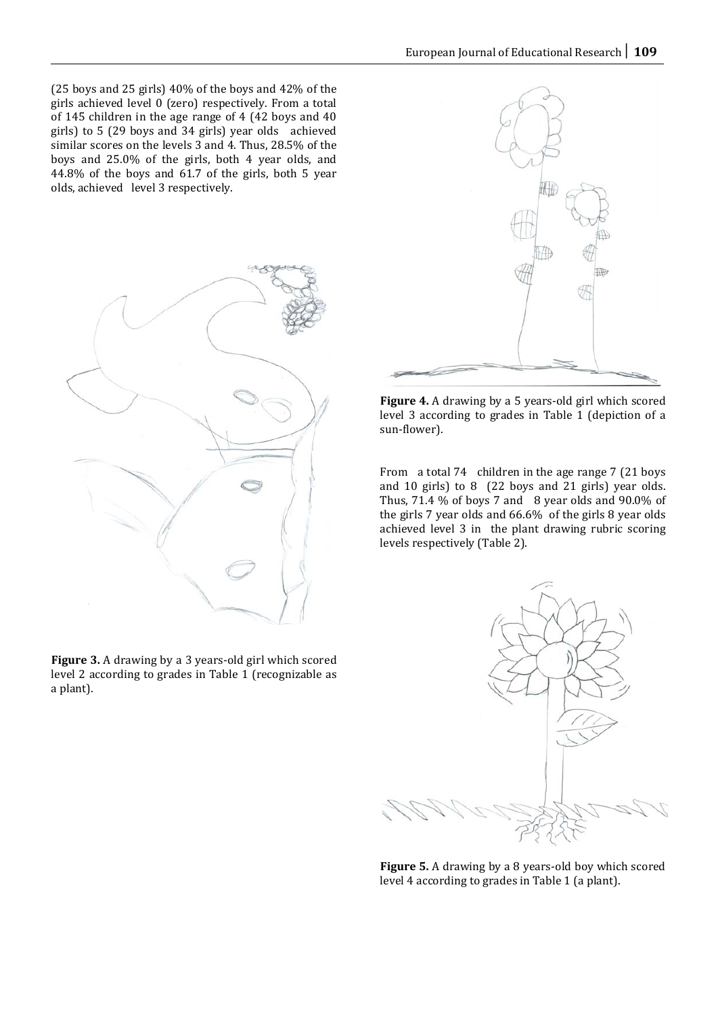(25 boys and 25 girls) 40% of the boys and 42% of the girls achieved level 0 (zero) respectively. From a total of 145 children in the age range of 4 (42 boys and 40 girls) to 5 (29 boys and 34 girls) year olds achieved similar scores on the levels 3 and 4. Thus, 28.5% of the boys and 25.0% of the girls, both 4 year olds, and 44.8% of the boys and 61.7 of the girls, both 5 year olds, achieved level 3 respectively.



**Figure 3.** A drawing by a 3 years-old girl which scored level 2 according to grades in Table 1 (recognizable as a plant).



**Figure 4.** A drawing by a 5 years-old girl which scored level 3 according to grades in Table 1 (depiction of a sun-flower).

From a total 74 children in the age range 7 (21 boys and 10 girls) to 8 (22 boys and 21 girls) year olds. Thus, 71.4 % of boys 7 and 8 year olds and 90.0% of the girls 7 year olds and 66.6% of the girls 8 year olds achieved level 3 in the plant drawing rubric scoring levels respectively (Table 2).



**Figure 5.** A drawing by a 8 years-old boy which scored level 4 according to grades in Table 1 (a plant).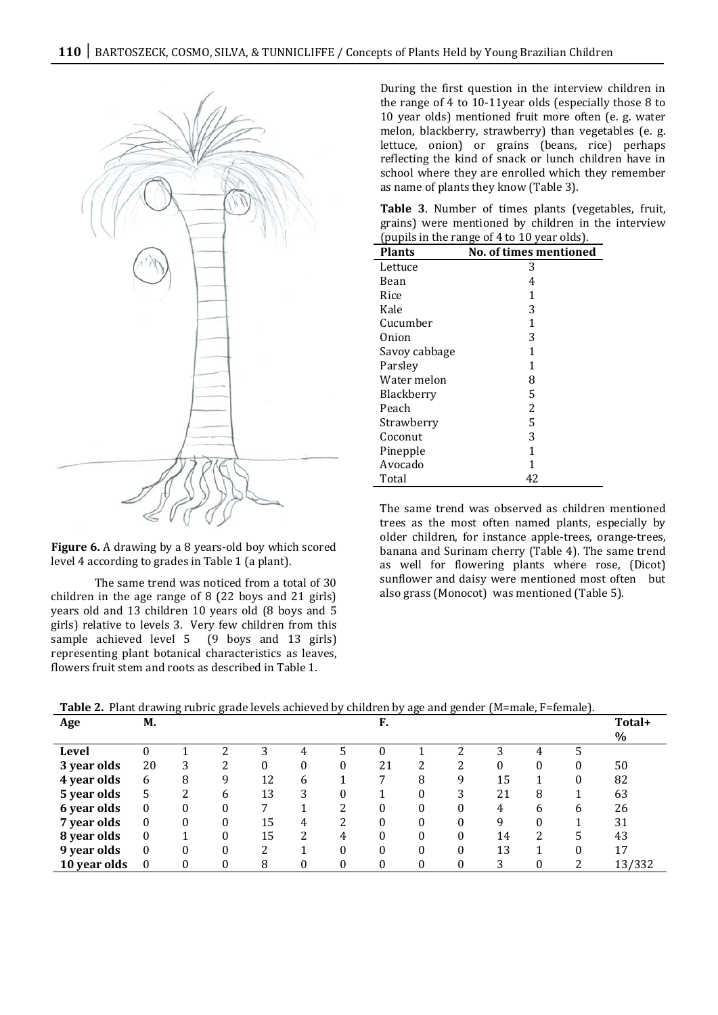

**Figure 6.** A drawing by a 8 years-old boy which scored level 4 according to grades in Table 1 (a plant).

The same trend was noticed from a total of 30 children in the age range of 8 (22 boys and 21 girls) years old and 13 children 10 years old (8 boys and 5 girls) relative to levels 3. Very few children from this sample achieved level 5 (9 boys and 13 girls) representing plant botanical characteristics as leaves, flowers fruit stem and roots as described in Table 1.

During the first question in the interview children in the range of 4 to 10-11year olds (especially those 8 to 10 year olds) mentioned fruit more often (e. g. water melon, blackberry, strawberry) than vegetables (e. g. lettuce, onion) or grains (beans, rice) perhaps reflecting the kind of snack or lunch children have in school where they are enrolled which they remember as name of plants they know (Table 3).

**Table 3**. Number of times plants (vegetables, fruit, grains) were mentioned by children in the interview (pupils in the range of 4 to 10 year olds).

| <b>Plants</b> | <b>No. of times mentioned</b> |
|---------------|-------------------------------|
| Lettuce       | 3                             |
| Bean          | 4                             |
| Rice          | 1                             |
| Kale          | 3                             |
| Cucumber      | 1                             |
| Onion         | 3                             |
| Savoy cabbage | 1                             |
| Parsley       | 1                             |
| Water melon   | 8                             |
| Blackberry    | 5                             |
| Peach         | 2                             |
| Strawberry    | 5                             |
| Coconut       | 3                             |
| Pinepple      | 1                             |
| Avocado       | 1                             |
| Total         | 42                            |

The same trend was observed as children mentioned trees as the most often named plants, especially by older children, for instance apple-trees, orange-trees, banana and Surinam cherry (Table 4). The same trend as well for flowering plants where rose, (Dicot) sunflower and daisy were mentioned most often but also grass (Monocot) was mentioned (Table 5).

**Table 2.** Plant drawing rubric grade levels achieved by children by age and gender (M=male, F=female).

| Age          | М.       | ה- | $\cdots$     |    |   | $\sim$ , | F. |          |   | $\alpha$ <sup>2</sup> |          | $\sim$ | Total+ |
|--------------|----------|----|--------------|----|---|----------|----|----------|---|-----------------------|----------|--------|--------|
|              |          |    |              |    |   |          |    |          |   |                       |          |        | $\%$   |
| Level        |          |    |              | 3  | 4 |          |    |          | າ | 3                     | 4        |        |        |
| 3 year olds  | 20       | 3  | 2            | 0  | 0 |          | 21 | 2        | 2 | 0                     | 0        | 0      | 50     |
| 4 year olds  | 6        | 8  | 9            | 12 | 6 |          |    | 8        | 9 | 15                    |          | 0      | 82     |
| 5 year olds  | 5        | າ  | <sub>6</sub> | 13 | 3 |          |    | $\Omega$ | 3 | 21                    | 8        |        | 63     |
| 6 year olds  | $\theta$ | 0  | $\Omega$     |    |   | າ        | 0  | 0        | 0 | 4                     | 6        | 6      | 26     |
| 7 year olds  | 0        | 0  | $\Omega$     | 15 | 4 | າ        | 0  |          |   | 9                     | 0        |        | 31     |
| 8 year olds  | $\theta$ |    | $\Omega$     | 15 | 2 |          | 0  | 0        |   | 14                    | 2        | 5.     | 43     |
| 9 year olds  | $\theta$ | 0  | $\Omega$     | າ  |   |          | 0  | $\Omega$ | 0 | 13                    |          | 0      | 17     |
| 10 year olds | $\Omega$ | 0  | $\theta$     | 8  | 0 | $\Omega$ | 0  | 0        | 0 | 3                     | $\Omega$ | າ      | 13/332 |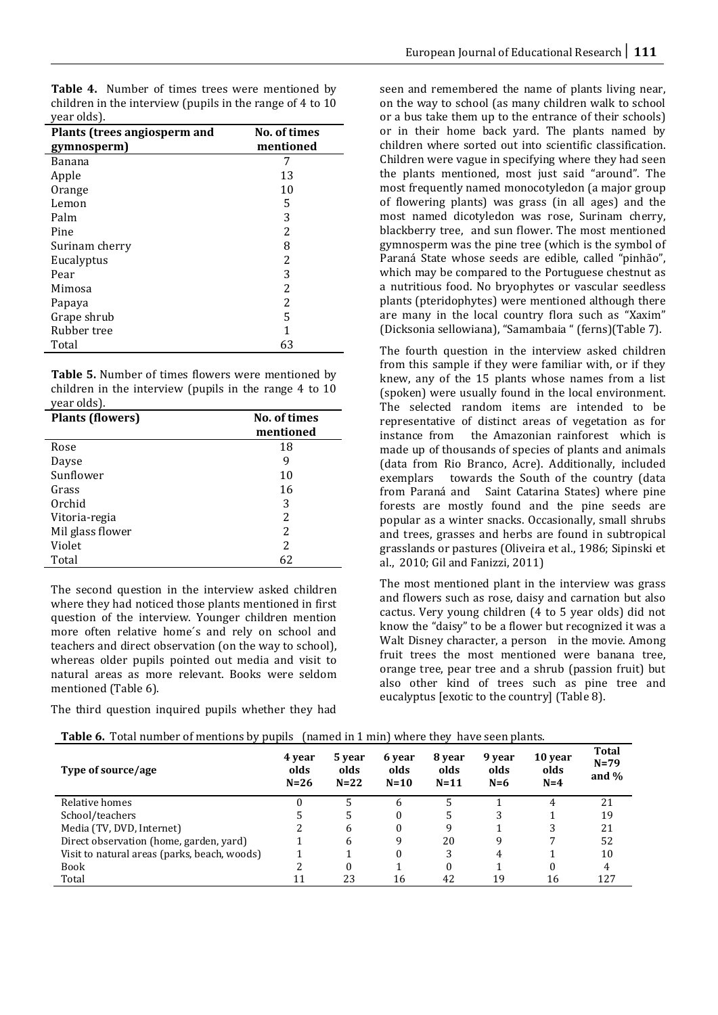**Table 4.** Number of times trees were mentioned by children in the interview (pupils in the range of 4 to 10 year olds).

| Plants (trees angiosperm and | No. of times |
|------------------------------|--------------|
| gymnosperm)                  | mentioned    |
| Banana                       | 7            |
| Apple                        | 13           |
| Orange                       | 10           |
| Lemon                        | 5            |
| Palm                         | 3            |
| Pine                         | 2            |
| Surinam cherry               | 8            |
| Eucalyptus                   | 2            |
| Pear                         | 3            |
| Mimosa                       | 2            |
| Papaya                       | 2            |
| Grape shrub                  | 5            |
| Rubber tree                  | 1            |
| Total                        | 63           |

**Table 5.** Number of times flowers were mentioned by children in the interview (pupils in the range 4 to 10 year olds).

| <b>Plants (flowers)</b> | No. of times<br>mentioned |
|-------------------------|---------------------------|
| Rose                    | 18                        |
| Dayse                   | 9                         |
| Sunflower               | 10                        |
| Grass                   | 16                        |
| Orchid                  | 3                         |
| Vitoria-regia           | 2                         |
| Mil glass flower        | 2                         |
| Violet                  | 2                         |
| Total                   | 62                        |

The second question in the interview asked children where they had noticed those plants mentioned in first question of the interview. Younger children mention more often relative home´s and rely on school and teachers and direct observation (on the way to school), whereas older pupils pointed out media and visit to natural areas as more relevant. Books were seldom mentioned (Table 6).

The third question inquired pupils whether they had

seen and remembered the name of plants living near, on the way to school (as many children walk to school or a bus take them up to the entrance of their schools) or in their home back yard. The plants named by children where sorted out into scientific classification. Children were vague in specifying where they had seen the plants mentioned, most just said "around". The most frequently named monocotyledon (a major group of flowering plants) was grass (in all ages) and the most named dicotyledon was rose, Surinam cherry, blackberry tree, and sun flower. The most mentioned gymnosperm was the pine tree (which is the symbol of Paraná State whose seeds are edible, called "pinhão", which may be compared to the Portuguese chestnut as a nutritious food. No bryophytes or vascular seedless plants (pteridophytes) were mentioned although there are many in the local country flora such as "Xaxim" (Dicksonia sellowiana), "Samambaia " (ferns)(Table 7).

The fourth question in the interview asked children from this sample if they were familiar with, or if they knew, any of the 15 plants whose names from a list (spoken) were usually found in the local environment. The selected random items are intended to be representative of distinct areas of vegetation as for the Amazonian rainforest which is made up of thousands of species of plants and animals (data from Rio Branco, Acre). Additionally, included exemplars towards the South of the country (data from Paraná and Saint Catarina States) where pine forests are mostly found and the pine seeds are popular as a winter snacks. Occasionally, small shrubs and trees, grasses and herbs are found in subtropical grasslands or pastures (Oliveira et al., 1986; Sipinski et al., 2010; Gil and Fanizzi, 2011)

The most mentioned plant in the interview was grass and flowers such as rose, daisy and carnation but also cactus. Very young children (4 to 5 year olds) did not know the "daisy" to be a flower but recognized it was a Walt Disney character, a person in the movie. Among fruit trees the most mentioned were banana tree, orange tree, pear tree and a shrub (passion fruit) but also other kind of trees such as pine tree and eucalyptus [exotic to the country] (Table 8).

| Type of source/age                           | 4 year<br>olds<br>$N=26$ | 5 year<br>olds<br>$N=22$ | 6 year<br>olds<br>$N=10$ | 8 year<br>olds<br>$N=11$ | 9 year<br>olds<br>$N=6$ | 10 year<br>olds<br>$N=4$ | <b>Total</b><br>$N = 79$<br>and $%$ |
|----------------------------------------------|--------------------------|--------------------------|--------------------------|--------------------------|-------------------------|--------------------------|-------------------------------------|
| Relative homes                               | $^{(1)}$                 |                          | <sub>6</sub>             |                          |                         | 4                        | 21                                  |
| School/teachers                              |                          |                          | $\theta$                 |                          |                         |                          | 19                                  |
| Media (TV, DVD, Internet)                    |                          | 6                        | $\theta$                 | q                        |                         | 3                        | 21                                  |
| Direct observation (home, garden, yard)      |                          | 6                        | 9                        | 20                       |                         |                          | 52                                  |
| Visit to natural areas (parks, beach, woods) |                          |                          | $\theta$                 | 3                        | 4                       |                          | 10                                  |
| <b>Book</b>                                  |                          | 0                        |                          | 0                        |                         |                          | 4                                   |
| Total                                        |                          | 23                       | 16                       | 42                       | 19                      | 16                       | 127                                 |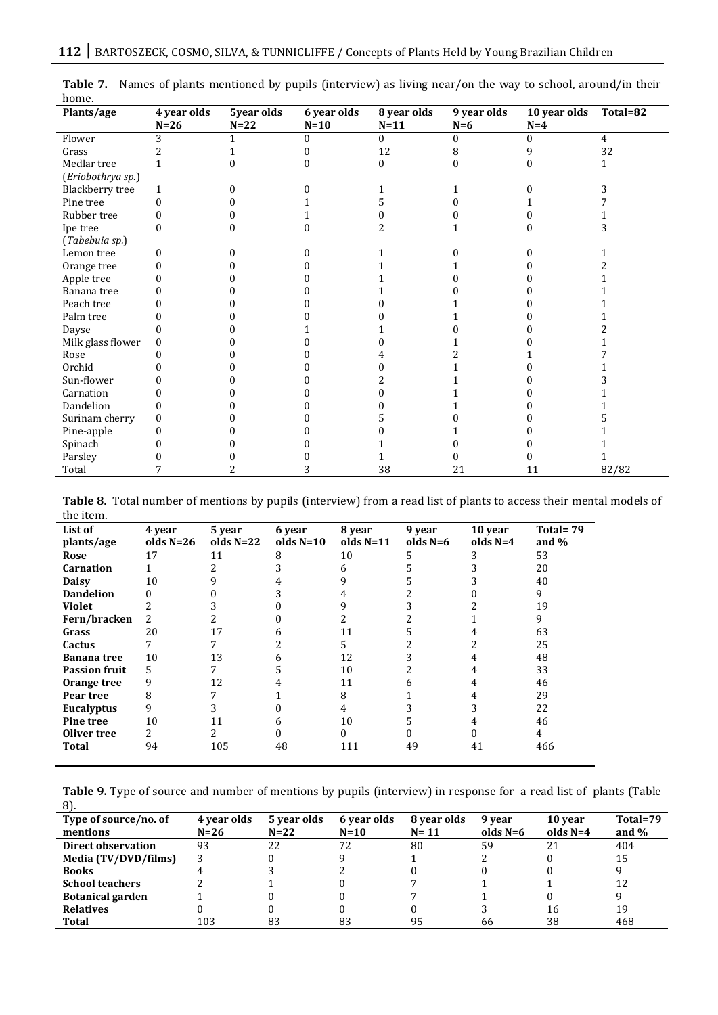| Plants/age        | 4 year olds | 5year olds | 6 year olds | 8 year olds | 9 year olds | 10 year olds | Total=82       |
|-------------------|-------------|------------|-------------|-------------|-------------|--------------|----------------|
|                   | $N=26$      | $N=22$     | $N=10$      | $N=11$      | $N=6$       | $N=4$        |                |
| Flower            | 3           |            | $\theta$    | $\theta$    | $\theta$    | $\theta$     | $\overline{4}$ |
| Grass             |             |            |             | 12          | 8           | q            | 32             |
| Medlar tree       |             |            |             | $\theta$    |             |              |                |
| (Eriobothrya sp.) |             |            |             |             |             |              |                |
| Blackberry tree   | 1           |            |             |             |             |              |                |
| Pine tree         | 0           |            |             |             |             |              |                |
| Rubber tree       |             |            |             |             |             |              |                |
| Ipe tree          |             |            |             |             |             |              |                |
| (Tabebuia sp.)    |             |            |             |             |             |              |                |
| Lemon tree        |             |            |             |             |             |              |                |
| Orange tree       |             |            |             |             |             |              |                |
| Apple tree        |             |            |             |             |             |              |                |
| Banana tree       |             |            |             |             |             |              |                |
| Peach tree        |             |            |             |             |             |              |                |
| Palm tree         |             |            |             |             |             |              |                |
| Dayse             |             |            |             |             |             |              |                |
| Milk glass flower | 0           |            |             |             |             |              |                |
| Rose              |             |            |             |             |             |              |                |
| Orchid            |             |            |             |             |             |              |                |
| Sun-flower        |             |            |             |             |             |              |                |
| Carnation         |             |            |             |             |             |              |                |
| Dandelion         |             |            |             |             |             |              |                |
| Surinam cherry    |             |            |             |             |             |              |                |
| Pine-apple        |             |            |             |             |             |              |                |
| Spinach           |             |            |             |             |             |              |                |
| Parsley           |             |            |             |             |             |              |                |
| Total             |             |            |             | 38          | 21          | 11           | 82/82          |

**Table 7.** Names of plants mentioned by pupils (interview) as living near/on the way to school, around/in their home.

**Table 8.** Total number of mentions by pupils (interview) from a read list of plants to access their mental models of the item.

| List of              | 4 year      | 5 year      | 6 year      | 8 year      | 9 year     | 10 year    | Total=79 |
|----------------------|-------------|-------------|-------------|-------------|------------|------------|----------|
| plants/age           | olds $N=26$ | olds $N=22$ | olds $N=10$ | olds $N=11$ | olds $N=6$ | olds $N=4$ | and $\%$ |
| Rose                 | 17          | 11          | 8           | 10          |            | 3          | 53       |
| <b>Carnation</b>     |             |             |             | 6           |            |            | 20       |
| <b>Daisy</b>         | 10          |             |             |             |            |            | 40       |
| <b>Dandelion</b>     | 0           |             |             |             |            |            | 9        |
| <b>Violet</b>        | 2           |             |             |             |            |            | 19       |
| Fern/bracken         | 2           |             |             |             |            |            | 9        |
| Grass                | 20          | 17          | h           | 11          |            |            | 63       |
| Cactus               |             |             |             | 5.          |            |            | 25       |
| <b>Banana</b> tree   | 10          | 13          | 6           | 12          |            |            | 48       |
| <b>Passion fruit</b> | 5           |             |             | 10          |            | 4          | 33       |
| Orange tree          | 9           | 12          |             | 11          |            |            | 46       |
| Pear tree            | 8           |             |             | 8           |            |            | 29       |
| Eucalyptus           | 9           |             |             | 4           |            |            | 22       |
| Pine tree            | 10          |             | n           | 10          |            |            | 46       |
| Oliver tree          | 2.          |             |             |             |            |            | 4        |
| Total                | 94          | 105         | 48          | 111         | 49         | 41         | 466      |
|                      |             |             |             |             |            |            |          |

**Table 9.** Type of source and number of mentions by pupils (interview) in response for a read list of plants (Table 8).

| Type of source/no. of     | 4 year olds | 5 year olds | 6 year olds | 8 year olds | 9 year     | 10 year    | Total=79 |
|---------------------------|-------------|-------------|-------------|-------------|------------|------------|----------|
| mentions                  | $N=26$      | $N=22$      | $N=10$      | $N = 11$    | olds $N=6$ | olds $N=4$ | and $%$  |
| <b>Direct observation</b> | 93          | 22          | 72          | 80          | 59         | 21         | 404      |
| Media (TV/DVD/films)      |             |             |             |             |            |            | 15       |
| <b>Books</b>              |             |             |             |             |            |            |          |
| <b>School teachers</b>    |             |             |             |             |            |            | 12       |
| <b>Botanical garden</b>   |             |             |             |             |            |            |          |
| <b>Relatives</b>          |             |             |             |             |            | 16         | 19       |
| Total                     | 103         | 83          | 83          | 95          | 66         | 38         | 468      |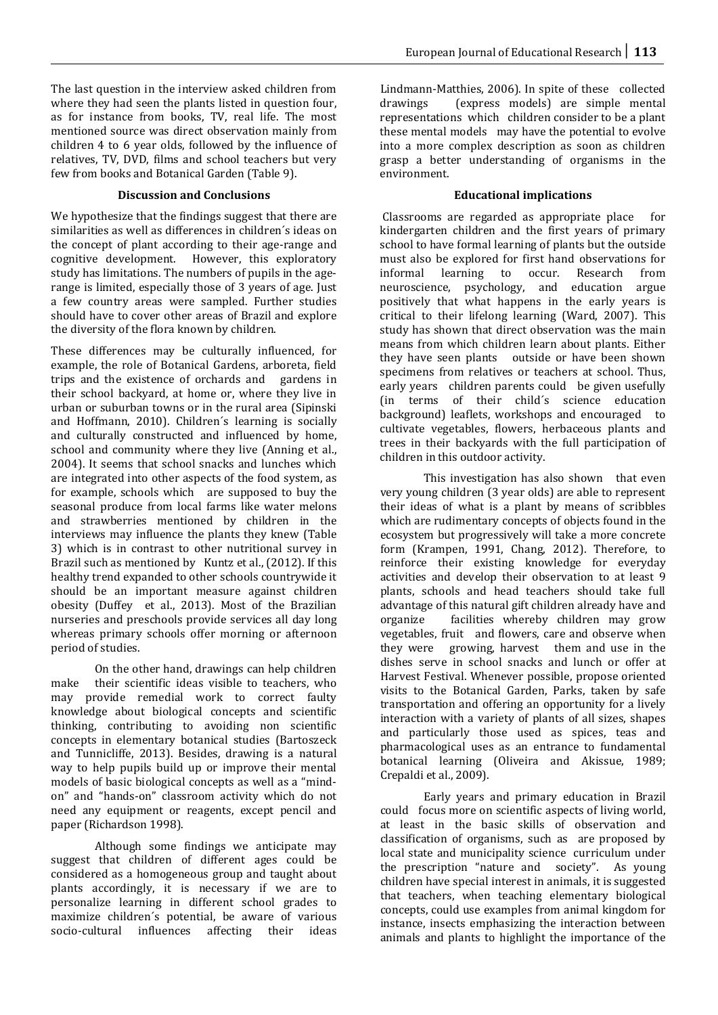The last question in the interview asked children from where they had seen the plants listed in question four, as for instance from books, TV, real life. The most mentioned source was direct observation mainly from children 4 to 6 year olds, followed by the influence of relatives, TV, DVD, films and school teachers but very few from books and Botanical Garden (Table 9).

## **Discussion and Conclusions**

We hypothesize that the findings suggest that there are similarities as well as differences in children´s ideas on the concept of plant according to their age-range and cognitive development. However, this exploratory study has limitations. The numbers of pupils in the agerange is limited, especially those of 3 years of age. Just a few country areas were sampled. Further studies should have to cover other areas of Brazil and explore the diversity of the flora known by children.

These differences may be culturally influenced, for example, the role of Botanical Gardens, arboreta, field trips and the existence of orchards and gardens in their school backyard, at home or, where they live in urban or suburban towns or in the rural area (Sipinski and Hoffmann, 2010). Children´s learning is socially and culturally constructed and influenced by home, school and community where they live (Anning et al., 2004). It seems that school snacks and lunches which are integrated into other aspects of the food system, as for example, schools which are supposed to buy the seasonal produce from local farms like water melons and strawberries mentioned by children in the interviews may influence the plants they knew (Table 3) which is in contrast to other nutritional survey in Brazil such as mentioned by Kuntz et al., (2012). If this healthy trend expanded to other schools countrywide it should be an important measure against children obesity (Duffey et al., 2013). Most of the Brazilian nurseries and preschools provide services all day long whereas primary schools offer morning or afternoon period of studies.

On the other hand, drawings can help children make their scientific ideas visible to teachers, who may provide remedial work to correct faulty knowledge about biological concepts and scientific thinking, contributing to avoiding non scientific concepts in elementary botanical studies (Bartoszeck and Tunnicliffe, 2013). Besides, drawing is a natural way to help pupils build up or improve their mental models of basic biological concepts as well as a "mindon" and "hands-on" classroom activity which do not need any equipment or reagents, except pencil and paper (Richardson 1998).

Although some findings we anticipate may suggest that children of different ages could be considered as a homogeneous group and taught about plants accordingly, it is necessary if we are to personalize learning in different school grades to maximize children's potential, be aware of various socio-cultural influences affecting their ideas affecting their ideas

Lindmann-Matthies, 2006). In spite of these collected drawings (express models) are simple mental (express models) are simple mental representations which children consider to be a plant these mental models may have the potential to evolve into a more complex description as soon as children grasp a better understanding of organisms in the environment.

# **Educational implications**

Classrooms are regarded as appropriate place for kindergarten children and the first years of primary school to have formal learning of plants but the outside must also be explored for first hand observations for<br>informal learning to occur. Research from informal learning to occur. Research from neuroscience, psychology, and education argue positively that what happens in the early years is critical to their lifelong learning (Ward, 2007). This study has shown that direct observation was the main means from which children learn about plants. Either they have seen plants outside or have been shown specimens from relatives or teachers at school. Thus, early years children parents could be given usefully (in terms of their child´s science education background) leaflets, workshops and encouraged to cultivate vegetables, flowers, herbaceous plants and trees in their backyards with the full participation of children in this outdoor activity.

This investigation has also shown that even very young children (3 year olds) are able to represent their ideas of what is a plant by means of scribbles which are rudimentary concepts of objects found in the ecosystem but progressively will take a more concrete form (Krampen, 1991, Chang, 2012). Therefore, to reinforce their existing knowledge for everyday activities and develop their observation to at least 9 plants, schools and head teachers should take full advantage of this natural gift children already have and<br>organize facilities whereby children may grow facilities whereby children may grow vegetables, fruit and flowers, care and observe when they were growing, harvest them and use in the dishes serve in school snacks and lunch or offer at Harvest Festival. Whenever possible, propose oriented visits to the Botanical Garden, Parks, taken by safe transportation and offering an opportunity for a lively interaction with a variety of plants of all sizes, shapes and particularly those used as spices, teas and pharmacological uses as an entrance to fundamental botanical learning (Oliveira and Akissue, 1989; Crepaldi et al., 2009).

Early years and primary education in Brazil could focus more on scientific aspects of living world, at least in the basic skills of observation and classification of organisms, such as are proposed by local state and municipality science curriculum under the prescription "nature and society". As young children have special interest in animals, it is suggested that teachers, when teaching elementary biological concepts, could use examples from animal kingdom for instance, insects emphasizing the interaction between animals and plants to highlight the importance of the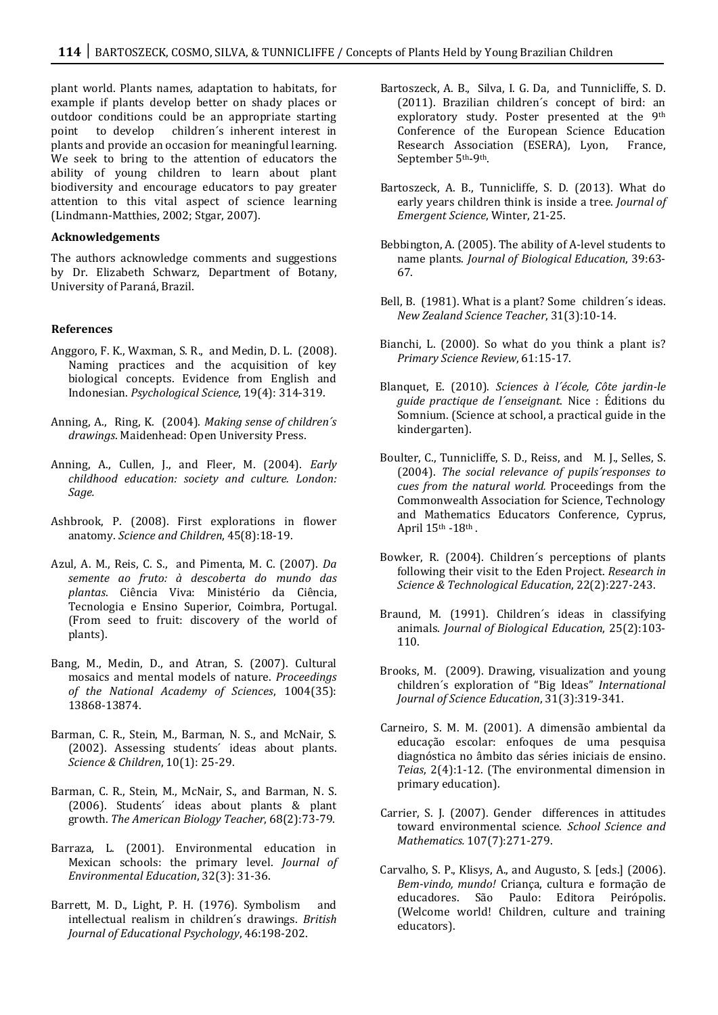plant world. Plants names, adaptation to habitats, for example if plants develop better on shady places or outdoor conditions could be an appropriate starting<br>point to develop children's inherent interest in children's inherent interest in plants and provide an occasion for meaningful learning. We seek to bring to the attention of educators the ability of young children to learn about plant biodiversity and encourage educators to pay greater attention to this vital aspect of science learning (Lindmann-Matthies, 2002; Stgar, 2007).

#### **Acknowledgements**

The authors acknowledge comments and suggestions by Dr. Elizabeth Schwarz, Department of Botany, University of Paraná, Brazil.

#### **References**

- Anggoro, F. K., Waxman, S. R., and Medin, D. L. (2008). Naming practices and the acquisition of key biological concepts. Evidence from English and Indonesian. *Psychological Science*, 19(4): 314-319.
- Anning, A., Ring, K. (2004). *Making sense of children´s drawings*. Maidenhead: Open University Press.
- Anning, A., Cullen, J., and Fleer, M. (2004). *Early childhood education: society and culture. London: Sage.*
- Ashbrook, P. (2008). First explorations in flower anatomy. *Science and Children*, 45(8):18-19.
- Azul, A. M., Reis, C. S., and Pimenta, M. C. (2007). *Da semente ao fruto: à descoberta do mundo das plantas*. Ciência Viva: Ministério da Ciência, Tecnologia e Ensino Superior, Coimbra, Portugal. (From seed to fruit: discovery of the world of plants).
- Bang, M., Medin, D., and Atran, S. (2007). Cultural mosaics and mental models of nature. *Proceedings of the National Academy of Sciences*, 1004(35): 13868-13874.
- Barman, C. R., Stein, M., Barman, N. S., and McNair, S. (2002). Assessing students´ ideas about plants. *Science & Children*, 10(1): 25-29.
- Barman, C. R., Stein, M., McNair, S., and Barman, N. S. (2006). Students´ ideas about plants & plant growth. *The American Biology Teacher*, 68(2):73-79.
- Barraza, L. (2001). Environmental education in Mexican schools: the primary level. *Journal of Environmental Education*, 32(3): 31-36.
- Barrett, M. D., Light, P. H. (1976). Symbolism and intellectual realism in children´s drawings. *British Journal of Educational Psychology*, 46:198-202.
- Bartoszeck, A. B., Silva, I. G. Da, and Tunnicliffe, S. D. (2011). Brazilian children´s concept of bird: an exploratory study. Poster presented at the 9th Conference of the European Science Education<br>Research Association (ESERA). Lvon. France. Research Association (ESERA), Lyon, September 5th-9th.
- Bartoszeck, A. B., Tunnicliffe, S. D. (2013). What do early years children think is inside a tree. *Journal of Emergent Science*, Winter, 21-25.
- Bebbington, A. (2005). The ability of A-level students to name plants. *Journal of Biological Education*, 39:63- 67.
- Bell, B. (1981). What is a plant? Some children´s ideas. *New Zealand Science Teacher*, 31(3):10-14.
- Bianchi, L. (2000). So what do you think a plant is? *Primary Science Review*, 61:15-17.
- Blanquet, E. (2010). *Sciences à l´école, Côte jardin-le guide practique de l´enseignant*. Nice : Éditions du Somnium. (Science at school, a practical guide in the kindergarten).
- Boulter, C., Tunnicliffe, S. D., Reiss, and M. J., Selles, S. (2004). *The social relevance of pupils´responses to cues from the natural world.* Proceedings from the Commonwealth Association for Science, Technology and Mathematics Educators Conference, Cyprus, April  $15^{\text{th}}$  -18<sup>th</sup>.
- Bowker, R. (2004). Children´s perceptions of plants following their visit to the Eden Project. *Research in Science & Technological Education*, 22(2):227-243.
- Braund, M. (1991). Children´s ideas in classifying animals. *Journal of Biological Education*, 25(2):103- 110.
- Brooks, M. (2009). Drawing, visualization and young children´s exploration of "Big Ideas" *International Journal of Science Education*, 31(3):319-341.
- Carneiro, S. M. M. (2001). A dimensão ambiental da educação escolar: enfoques de uma pesquisa diagnóstica no âmbito das séries iniciais de ensino. *Teias*, 2(4):1-12. (The environmental dimension in primary education).
- Carrier, S. J. (2007). Gender differences in attitudes toward environmental science. *School Science and Mathematics.* 107(7):271-279.
- Carvalho, S. P., Klisys, A., and Augusto, S. [eds.] (2006). *Bem-vindo, mundo!* Criança, cultura e formação de educadores. São Paulo: Editora Peirópolis. (Welcome world! Children, culture and training educators).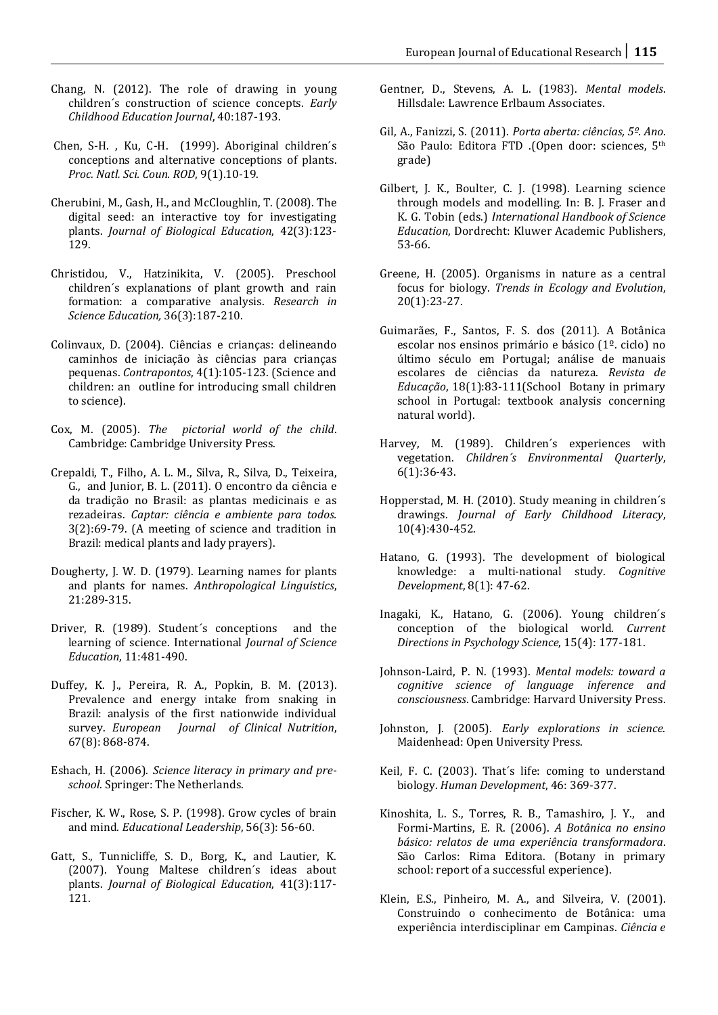- Chang, N. (2012). The role of drawing in young children´s construction of science concepts. *Early Childhood Education Journal*, 40:187-193.
- Chen, S-H. , Ku, C-H. (1999). Aboriginal children´s conceptions and alternative conceptions of plants. *Proc. Natl. Sci. Coun. ROD*, 9(1).10-19.
- Cherubini, M., Gash, H., and McCloughlin, T. (2008). The digital seed: an interactive toy for investigating plants. *Journal of Biological Education*, 42(3):123- 129.
- Christidou, V., Hatzinikita, V. (2005). Preschool children´s explanations of plant growth and rain formation: a comparative analysis. *Research in Science Education,* 36(3):187-210.
- Colinvaux, D. (2004). Ciências e crianças: delineando caminhos de iniciação às ciências para crianças pequenas. *Contrapontos*, 4(1):105-123. (Science and children: an outline for introducing small children to science).
- Cox, M. (2005). *The pictorial world of the child*. Cambridge: Cambridge University Press.
- Crepaldi, T., Filho, A. L. M., Silva, R., Silva, D., Teixeira, G., and Junior, B. L. (2011). O encontro da ciência e da tradição no Brasil: as plantas medicinais e as rezadeiras. *Captar: ciência e ambiente para todos.* 3(2):69-79. (A meeting of science and tradition in Brazil: medical plants and lady prayers).
- Dougherty, J. W. D. (1979). Learning names for plants and plants for names. *Anthropological Linguistics*, 21:289-315.
- Driver, R. (1989). Student´s conceptions and the learning of science. International *Journal of Science Education*, 11:481-490.
- Duffey, K. J., Pereira, R. A., Popkin, B. M. (2013). Prevalence and energy intake from snaking in Brazil: analysis of the first nationwide individual survey. *European Journal of Clinical Nutrition*, 67(8): 868-874.
- Eshach, H. (2006). *Science literacy in primary and preschool*. Springer: The Netherlands.
- Fischer, K. W., Rose, S. P. (1998). Grow cycles of brain and mind. *Educational Leadership*, 56(3): 56-60.
- Gatt, S., Tunnicliffe, S. D., Borg, K., and Lautier, K. (2007). Young Maltese children´s ideas about plants. *Journal of Biological Education*, 41(3):117- 121.
- Gentner, D., Stevens, A. L. (1983). *Mental models*. Hillsdale: Lawrence Erlbaum Associates.
- Gil, A., Fanizzi, S. (2011). *Porta aberta: ciências, 5º. Ano*. São Paulo: Editora FTD .(Open door: sciences, 5th grade)
- Gilbert, J. K., Boulter, C. J. (1998). Learning science through models and modelling. In: B. J. Fraser and K. G. Tobin (eds.) *International Handbook of Science Education*, Dordrecht: Kluwer Academic Publishers, 53-66.
- Greene, H. (2005). Organisms in nature as a central focus for biology. *Trends in Ecology and Evolution*, 20(1):23-27.
- Guimarães, F., Santos, F. S. dos (2011). A Botânica escolar nos ensinos primário e básico (1º. ciclo) no último século em Portugal; análise de manuais escolares de ciências da natureza. *Revista de Educação*, 18(1):83-111(School Botany in primary school in Portugal: textbook analysis concerning natural world).
- Harvey, M. (1989). Children´s experiences with vegetation. *Children´s Environmental Quarterly*, 6(1):36-43.
- Hopperstad, M. H. (2010). Study meaning in children´s drawings. *Journal of Early Childhood Literacy*, 10(4):430-452.
- Hatano, G. (1993). The development of biological knowledge: a multi-national study. *Cognitive Development*, 8(1): 47-62.
- Inagaki, K., Hatano, G. (2006). Young children´s conception of the biological world. *Current Directions in Psychology Science*, 15(4): 177-181.
- Johnson-Laird, P. N. (1993). *Mental models: toward a cognitive science of language inference and consciousness*. Cambridge: Harvard University Press.
- Johnston, J. (2005). *Early explorations in science*. Maidenhead: Open University Press.
- Keil, F. C. (2003). That´s life: coming to understand biology. *Human Development*, 46: 369-377.
- Kinoshita, L. S., Torres, R. B., Tamashiro, J. Y., and Formi-Martins, E. R. (2006). *A Botânica no ensino básico: relatos de uma experiência transformadora*. São Carlos: Rima Editora. (Botany in primary school: report of a successful experience).
- Klein, E.S., Pinheiro, M. A., and Silveira, V. (2001). Construindo o conhecimento de Botânica: uma experiência interdisciplinar em Campinas. *Ciência e*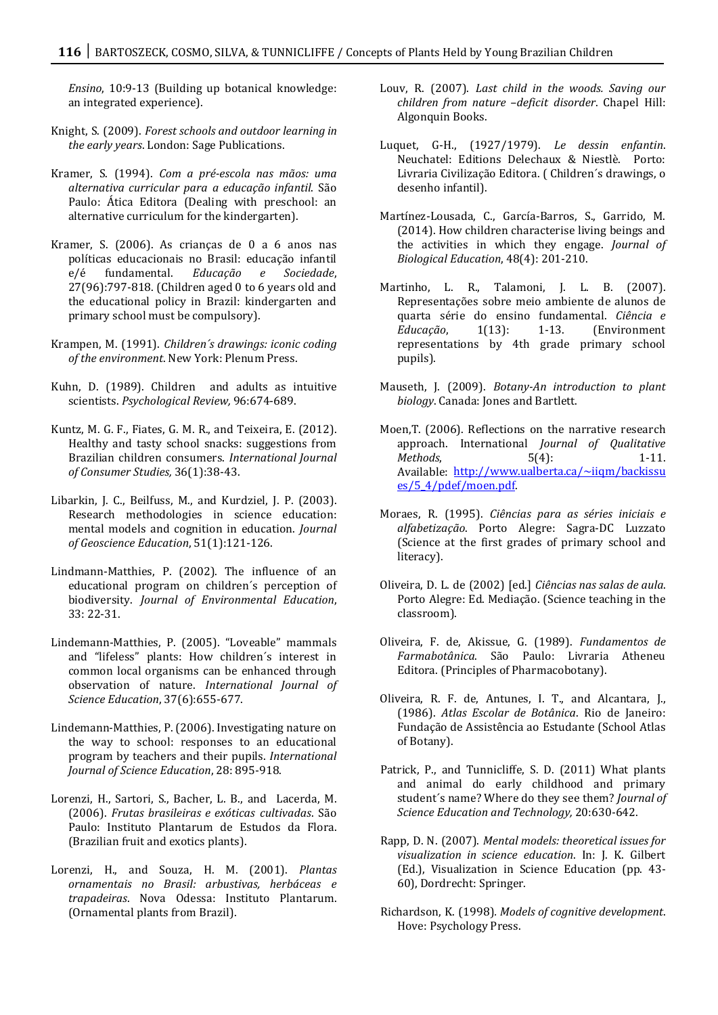*Ensino*, 10:9-13 (Building up botanical knowledge: an integrated experience).

- Knight, S. (2009). *Forest schools and outdoor learning in the early years*. London: Sage Publications.
- Kramer, S. (1994). *Com a pré-escola nas mãos: uma alternativa curricular para a educação infantil*. São Paulo: Ática Editora (Dealing with preschool: an alternative curriculum for the kindergarten).
- Kramer, S. (2006). As crianças de 0 a 6 anos nas políticas educacionais no Brasil: educação infantil<br>e/é fundamental. Educação e Sociedade, e/é fundamental. *Educação e Sociedade*, 27(96):797-818. (Children aged 0 to 6 years old and the educational policy in Brazil: kindergarten and primary school must be compulsory).
- Krampen, M. (1991). *Children´s drawings: iconic coding of the environment*. New York: Plenum Press.
- Kuhn, D. (1989). Children and adults as intuitive scientists. *Psychological Review,* 96:674-689.
- Kuntz, M. G. F., Fiates, G. M. R., and Teixeira, E. (2012). Healthy and tasty school snacks: suggestions from Brazilian children consumers. *International Journal of Consumer Studies,* 36(1):38-43.
- Libarkin, J. C., Beilfuss, M., and Kurdziel, J. P. (2003). Research methodologies in science education: mental models and cognition in education. *Journal of Geoscience Education*, 51(1):121-126.
- Lindmann-Matthies, P. (2002). The influence of an educational program on children´s perception of biodiversity. *Journal of Environmental Education*, 33: 22-31.
- Lindemann-Matthies, P. (2005). "Loveable" mammals and "lifeless" plants: How children´s interest in common local organisms can be enhanced through observation of nature. *International Journal of Science Education*, 37(6):655-677.
- Lindemann-Matthies, P. (2006). Investigating nature on the way to school: responses to an educational program by teachers and their pupils. *International Journal of Science Education*, 28: 895-918.
- Lorenzi, H., Sartori, S., Bacher, L. B., and Lacerda, M. (2006). *Frutas brasileiras e exóticas cultivadas*. São Paulo: Instituto Plantarum de Estudos da Flora. (Brazilian fruit and exotics plants).
- Lorenzi, H., and Souza, H. M. (2001). *Plantas ornamentais no Brasil: arbustivas, herbáceas e trapadeiras*. Nova Odessa: Instituto Plantarum. (Ornamental plants from Brazil).
- Louv, R. (2007). *Last child in the woods. Saving our children from nature –deficit disorder*. Chapel Hill: Algonquin Books.
- Luquet, G-H., (1927/1979). *Le dessin enfantin*. Neuchatel: Editions Delechaux & Niestlè. Porto: Livraria Civilização Editora. ( Children´s drawings, o desenho infantil).
- Martínez-Lousada, C., García-Barros, S., Garrido, M. (2014). How children characterise living beings and the activities in which they engage. *Journal of Biological Education*, 48(4): 201-210.
- Martinho, L. R., Talamoni, J. L. B. (2007). Representações sobre meio ambiente de alunos de quarta série do ensino fundamental. *Ciência e Educação*, 1(13): 1-13. (Environment representations by 4th grade primary school pupils).
- Mauseth, J. (2009). *Botany-An introduction to plant biology*. Canada: Jones and Bartlett.
- Moen,T. (2006). Reflections on the narrative research approach. International *Journal of Qualitative Methods*, 5(4): 1-11. Available: [http://www.ualberta.ca/~iiqm/backissu](http://www.ualberta.ca/~iiqm/backissues/5_4/pdef/moen.pdf) [es/5\\_4/pdef/moen.pdf.](http://www.ualberta.ca/~iiqm/backissues/5_4/pdef/moen.pdf)
- Moraes, R. (1995). *Ciências para as séries iniciais e alfabetização*. Porto Alegre: Sagra-DC Luzzato (Science at the first grades of primary school and literacy).
- Oliveira, D. L. de (2002) [ed.] *Ciências nas salas de aula*. Porto Alegre: Ed. Mediação. (Science teaching in the classroom).
- Oliveira, F. de, Akissue, G. (1989). *Fundamentos de Farmabotânica*. São Paulo: Livraria Atheneu Editora. (Principles of Pharmacobotany).
- Oliveira, R. F. de, Antunes, I. T., and Alcantara, J., (1986). *Atlas Escolar de Botânica*. Rio de Janeiro: Fundação de Assistência ao Estudante (School Atlas of Botany).
- Patrick, P., and Tunnicliffe, S. D. (2011) What plants and animal do early childhood and primary student´s name? Where do they see them? *Journal of Science Education and Technology,* 20:630-642.
- Rapp, D. N. (2007). *Mental models: theoretical issues for visualization in science education*. In: J. K. Gilbert (Ed.), Visualization in Science Education (pp. 43- 60), Dordrecht: Springer.
- Richardson, K. (1998)*. Models of cognitive development*. Hove: Psychology Press.